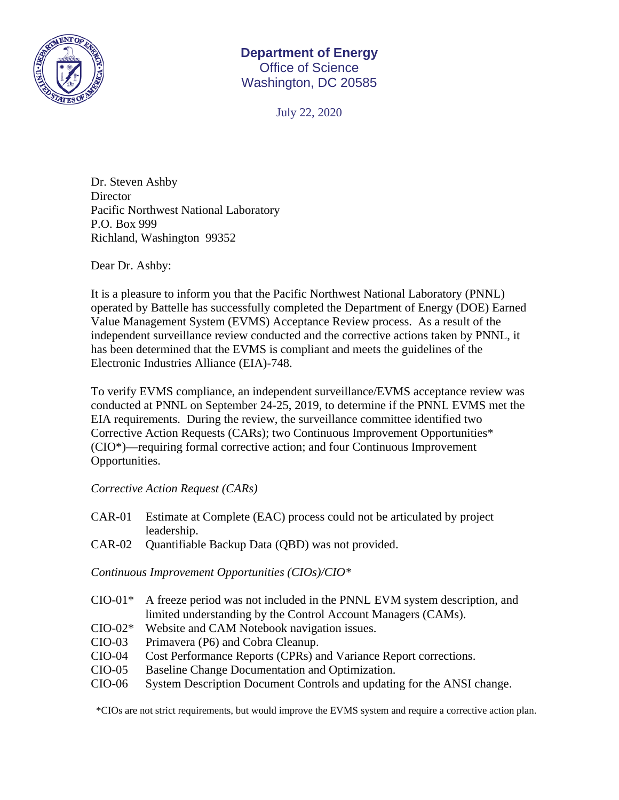

## **Department of Energy**  Office of Science Washington, DC 20585

July 22, 2020

Dr. Steven Ashby Director Pacific Northwest National Laboratory P.O. Box 999 Richland, Washington 99352

Dear Dr. Ashby:

It is a pleasure to inform you that the Pacific Northwest National Laboratory (PNNL) operated by Battelle has successfully completed the Department of Energy (DOE) Earned Value Management System (EVMS) Acceptance Review process. As a result of the independent surveillance review conducted and the corrective actions taken by PNNL, it has been determined that the EVMS is compliant and meets the guidelines of the Electronic Industries Alliance (EIA)-748.

To verify EVMS compliance, an independent surveillance/EVMS acceptance review was conducted at PNNL on September 24-25, 2019, to determine if the PNNL EVMS met the EIA requirements. During the review, the surveillance committee identified two Corrective Action Requests (CARs); two Continuous Improvement Opportunities\* (CIO\*)—requiring formal corrective action; and four Continuous Improvement Opportunities.

## *Corrective Action Request (CARs)*

- CAR-01 Estimate at Complete (EAC) process could not be articulated by project leadership.
- CAR-02 Quantifiable Backup Data (QBD) was not provided.

*Continuous Improvement Opportunities (CIOs)/CIO\** 

- CIO-01\* A freeze period was not included in the PNNL EVM system description, and limited understanding by the Control Account Managers (CAMs).
- CIO-02\* Website and CAM Notebook navigation issues.
- CIO-03 Primavera (P6) and Cobra Cleanup.
- CIO-04 Cost Performance Reports (CPRs) and Variance Report corrections.
- CIO-05 Baseline Change Documentation and Optimization.
- CIO-06 System Description Document Controls and updating for the ANSI change.

\*CIOs are not strict requirements, but would improve the EVMS system and require a corrective action plan.